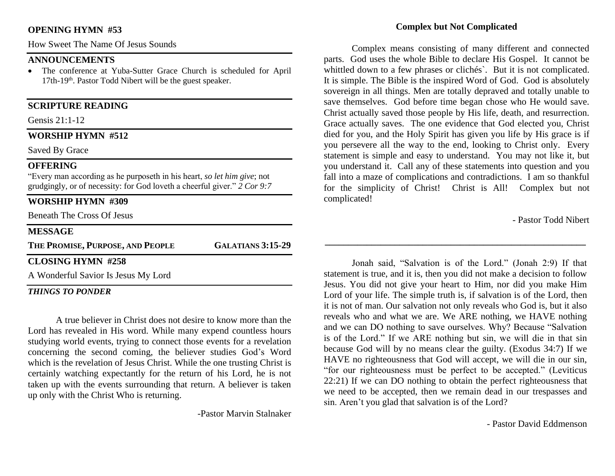#### **OPENING HYMN #53**

How Sweet The Name Of Jesus Sounds

#### **ANNOUNCEMENTS**

• The conference at Yuba-Sutter Grace Church is scheduled for April 17th-19<sup>th</sup>. Pastor Todd Nibert will be the guest speaker.

#### **SCRIPTURE READING**

Gensis 21:1-12

#### **WORSHIP HYMN #512**

Saved By Grace

#### **OFFERING**

"Every man according as he purposeth in his heart, *so let him give*; not grudgingly, or of necessity: for God loveth a cheerful giver." *2 Cor 9:7*

### **WORSHIP HYMN #309**

Beneath The Cross Of Jesus

#### **MESSAGE**

**THE PROMISE, PURPOSE, AND PEOPLE GALATIANS 3:15-29**

#### **CLOSING HYMN #258**

A Wonderful Savior Is Jesus My Lord

#### *THINGS TO PONDER*

A true believer in Christ does not desire to know more than the Lord has revealed in His word. While many expend countless hours studying world events, trying to connect those events for a revelation concerning the second coming, the believer studies God's Word which is the revelation of Jesus Christ. While the one trusting Christ is certainly watching expectantly for the return of his Lord, he is not taken up with the events surrounding that return. A believer is taken up only with the Christ Who is returning.

-Pastor Marvin Stalnaker

#### **Complex but Not Complicated**

Complex means consisting of many different and connected parts. God uses the whole Bible to declare His Gospel. It cannot be whittled down to a few phrases or clichés`. But it is not complicated. It is simple. The Bible is the inspired Word of God. God is absolutely sovereign in all things. Men are totally depraved and totally unable to save themselves. God before time began chose who He would save. Christ actually saved those people by His life, death, and resurrection. Grace actually saves. The one evidence that God elected you, Christ died for you, and the Holy Spirit has given you life by His grace is if you persevere all the way to the end, looking to Christ only. Every statement is simple and easy to understand. You may not like it, but you understand it. Call any of these statements into question and you fall into a maze of complications and contradictions. I am so thankful for the simplicity of Christ! Christ is All! Complex but not complicated!

- Pastor Todd Nibert

Jonah said, "Salvation is of the Lord." (Jonah 2:9) If that statement is true, and it is, then you did not make a decision to follow Jesus. You did not give your heart to Him, nor did you make Him Lord of your life. The simple truth is, if salvation is of the Lord, then it is not of man. Our salvation not only reveals who God is, but it also reveals who and what we are. We ARE nothing, we HAVE nothing and we can DO nothing to save ourselves. Why? Because "Salvation is of the Lord." If we ARE nothing but sin, we will die in that sin because God will by no means clear the guilty. (Exodus 34:7) If we HAVE no righteousness that God will accept, we will die in our sin, "for our righteousness must be perfect to be accepted." (Leviticus 22:21) If we can DO nothing to obtain the perfect righteousness that we need to be accepted, then we remain dead in our trespasses and sin. Aren't you glad that salvation is of the Lord?

**\_\_\_\_\_\_\_\_\_\_\_\_\_\_\_\_\_\_\_\_\_\_\_\_\_\_\_\_\_\_\_\_\_\_\_\_\_\_\_\_\_\_\_\_\_\_\_\_\_\_\_\_\_\_\_\_**

- Pastor David Eddmenson